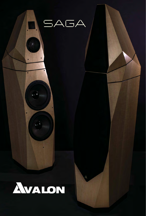